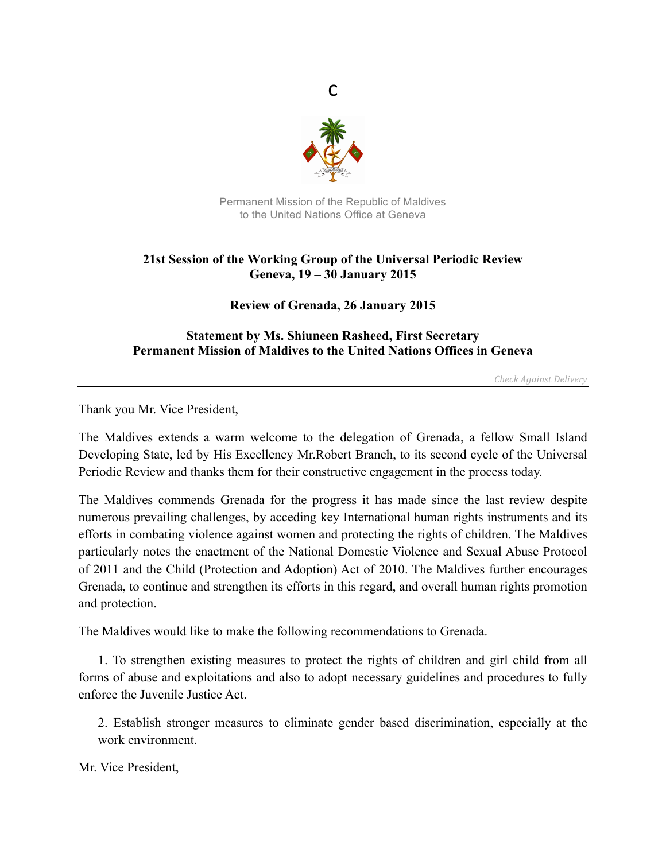

c

Permanent Mission of the Republic of Maldives to the United Nations Office at Geneva

## **21st Session of the Working Group of the Universal Periodic Review Geneva, 19 – 30 January 2015**

**Review of Grenada, 26 January 2015**

## **Statement by Ms. Shiuneen Rasheed, First Secretary Permanent Mission of Maldives to the United Nations Offices in Geneva**

*Check Against Delivery*

Thank you Mr. Vice President,

The Maldives extends a warm welcome to the delegation of Grenada, a fellow Small Island Developing State, led by His Excellency Mr.Robert Branch, to its second cycle of the Universal Periodic Review and thanks them for their constructive engagement in the process today.

The Maldives commends Grenada for the progress it has made since the last review despite numerous prevailing challenges, by acceding key International human rights instruments and its efforts in combating violence against women and protecting the rights of children. The Maldives particularly notes the enactment of the National Domestic Violence and Sexual Abuse Protocol of 2011 and the Child (Protection and Adoption) Act of 2010. The Maldives further encourages Grenada, to continue and strengthen its efforts in this regard, and overall human rights promotion and protection.

The Maldives would like to make the following recommendations to Grenada.

1. To strengthen existing measures to protect the rights of children and girl child from all forms of abuse and exploitations and also to adopt necessary guidelines and procedures to fully enforce the Juvenile Justice Act.

2. Establish stronger measures to eliminate gender based discrimination, especially at the work environment.

Mr. Vice President,